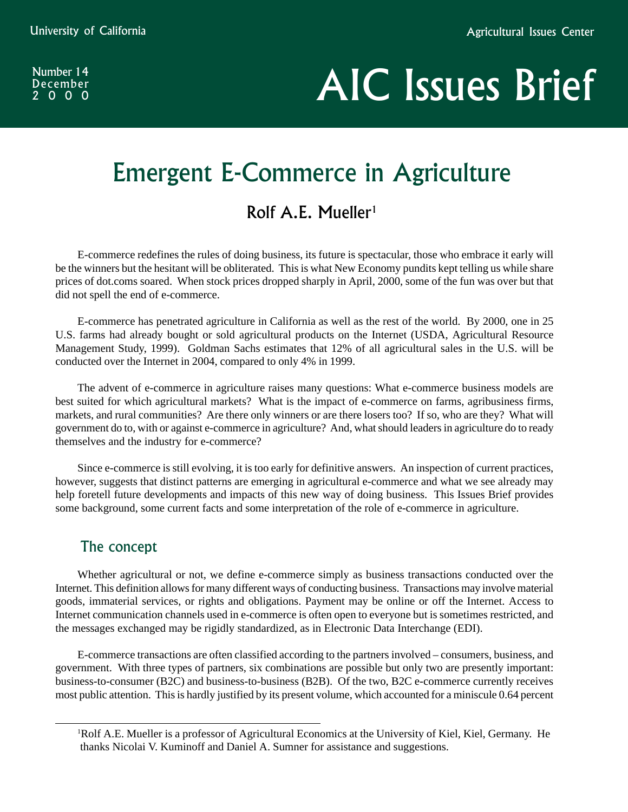Number 14 December 2000

# AIC Issues Brief

## Emergent E-Commerce in Agriculture

## Rolf A.E. Mueller<sup>1</sup>

E-commerce redefines the rules of doing business, its future is spectacular, those who embrace it early will be the winners but the hesitant will be obliterated. This is what New Economy pundits kept telling us while share prices of dot.coms soared. When stock prices dropped sharply in April, 2000, some of the fun was over but that did not spell the end of e-commerce.

E-commerce has penetrated agriculture in California as well as the rest of the world. By 2000, one in 25 U.S. farms had already bought or sold agricultural products on the Internet (USDA, Agricultural Resource Management Study, 1999). Goldman Sachs estimates that 12% of all agricultural sales in the U.S. will be conducted over the Internet in 2004, compared to only 4% in 1999.

The advent of e-commerce in agriculture raises many questions: What e-commerce business models are best suited for which agricultural markets? What is the impact of e-commerce on farms, agribusiness firms, markets, and rural communities? Are there only winners or are there losers too? If so, who are they? What will government do to, with or against e-commerce in agriculture? And, what should leaders in agriculture do to ready themselves and the industry for e-commerce?

Since e-commerce is still evolving, it is too early for definitive answers. An inspection of current practices, however, suggests that distinct patterns are emerging in agricultural e-commerce and what we see already may help foretell future developments and impacts of this new way of doing business. This Issues Brief provides some background, some current facts and some interpretation of the role of e-commerce in agriculture.

## The concept

Whether agricultural or not, we define e-commerce simply as business transactions conducted over the Internet. This definition allows for many different ways of conducting business. Transactions may involve material goods, immaterial services, or rights and obligations. Payment may be online or off the Internet. Access to Internet communication channels used in e-commerce is often open to everyone but is sometimes restricted, and the messages exchanged may be rigidly standardized, as in Electronic Data Interchange (EDI).

E-commerce transactions are often classified according to the partners involved – consumers, business, and government. With three types of partners, six combinations are possible but only two are presently important: business-to-consumer (B2C) and business-to-business (B2B). Of the two, B2C e-commerce currently receives most public attention. This is hardly justified by its present volume, which accounted for a miniscule 0.64 percent

<sup>&</sup>lt;sup>1</sup>Rolf A.E. Mueller is a professor of Agricultural Economics at the University of Kiel, Kiel, Germany. He thanks Nicolai V. Kuminoff and Daniel A. Sumner for assistance and suggestions.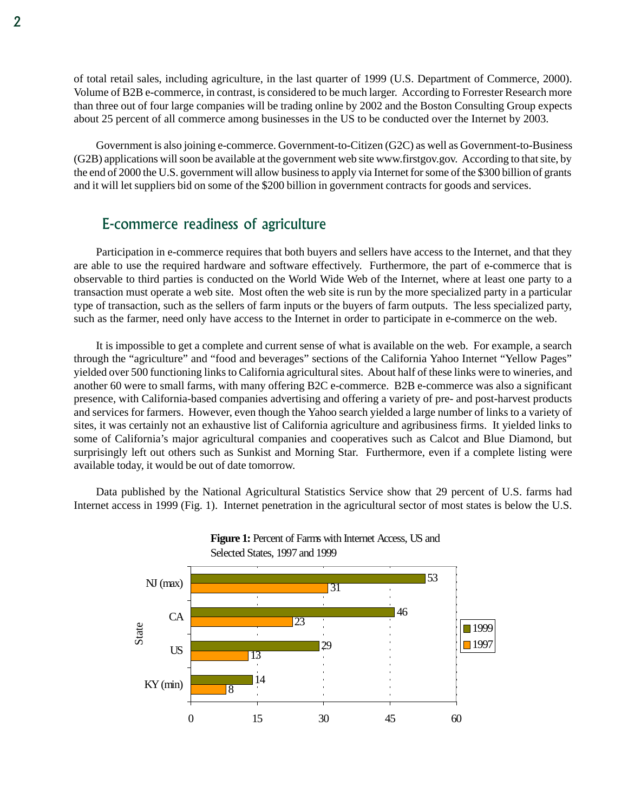of total retail sales, including agriculture, in the last quarter of 1999 (U.S. Department of Commerce, 2000). Volume of B2B e-commerce, in contrast, is considered to be much larger. According to Forrester Research more than three out of four large companies will be trading online by 2002 and the Boston Consulting Group expects about 25 percent of all commerce among businesses in the US to be conducted over the Internet by 2003.

Government is also joining e-commerce. Government-to-Citizen (G2C) as well as Government-to-Business (G2B) applications will soon be available at the government web site www.firstgov.gov. According to that site, by the end of 2000 the U.S. government will allow business to apply via Internet for some of the \$300 billion of grants and it will let suppliers bid on some of the \$200 billion in government contracts for goods and services.

### E-commerce readiness of agriculture

Participation in e-commerce requires that both buyers and sellers have access to the Internet, and that they are able to use the required hardware and software effectively. Furthermore, the part of e-commerce that is observable to third parties is conducted on the World Wide Web of the Internet, where at least one party to a transaction must operate a web site. Most often the web site is run by the more specialized party in a particular type of transaction, such as the sellers of farm inputs or the buyers of farm outputs. The less specialized party, such as the farmer, need only have access to the Internet in order to participate in e-commerce on the web.

It is impossible to get a complete and current sense of what is available on the web. For example, a search through the "agriculture" and "food and beverages" sections of the California Yahoo Internet "Yellow Pages" yielded over 500 functioning links to California agricultural sites. About half of these links were to wineries, and another 60 were to small farms, with many offering B2C e-commerce. B2B e-commerce was also a significant presence, with California-based companies advertising and offering a variety of pre- and post-harvest products and services for farmers. However, even though the Yahoo search yielded a large number of links to a variety of sites, it was certainly not an exhaustive list of California agriculture and agribusiness firms. It yielded links to some of California's major agricultural companies and cooperatives such as Calcot and Blue Diamond, but surprisingly left out others such as Sunkist and Morning Star. Furthermore, even if a complete listing were available today, it would be out of date tomorrow.

Data published by the National Agricultural Statistics Service show that 29 percent of U.S. farms had Internet access in 1999 (Fig. 1). Internet penetration in the agricultural sector of most states is below the U.S.



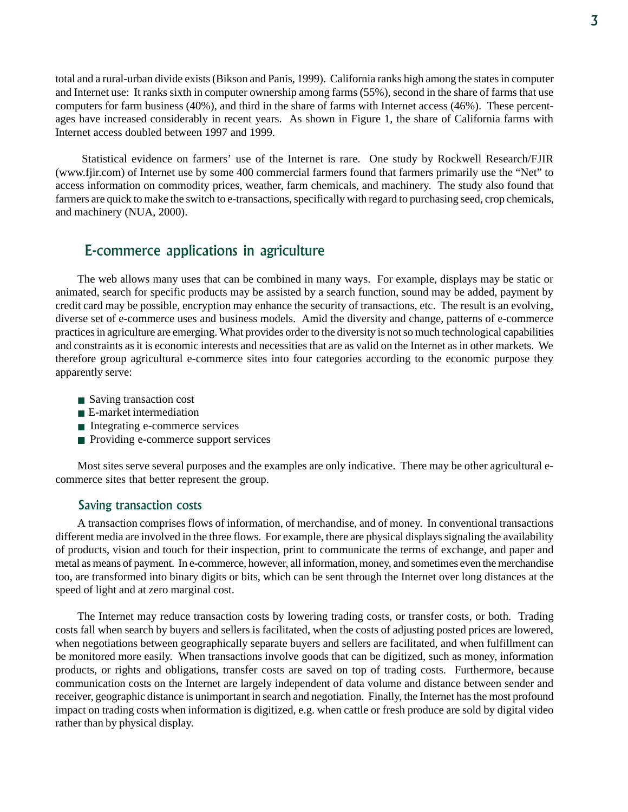total and a rural-urban divide exists (Bikson and Panis, 1999). California ranks high among the states in computer and Internet use: It ranks sixth in computer ownership among farms (55%), second in the share of farms that use computers for farm business (40%), and third in the share of farms with Internet access (46%). These percentages have increased considerably in recent years. As shown in Figure 1, the share of California farms with Internet access doubled between 1997 and 1999.

 Statistical evidence on farmers' use of the Internet is rare. One study by Rockwell Research/FJIR (www.fjir.com) of Internet use by some 400 commercial farmers found that farmers primarily use the "Net" to access information on commodity prices, weather, farm chemicals, and machinery. The study also found that farmers are quick to make the switch to e-transactions, specifically with regard to purchasing seed, crop chemicals, and machinery (NUA, 2000).

## E-commerce applications in agriculture

The web allows many uses that can be combined in many ways. For example, displays may be static or animated, search for specific products may be assisted by a search function, sound may be added, payment by credit card may be possible, encryption may enhance the security of transactions, etc. The result is an evolving, diverse set of e-commerce uses and business models. Amid the diversity and change, patterns of e-commerce practices in agriculture are emerging. What provides order to the diversity is not so much technological capabilities and constraints as it is economic interests and necessities that are as valid on the Internet as in other markets. We therefore group agricultural e-commerce sites into four categories according to the economic purpose they apparently serve:

- Saving transaction cost
- E-market intermediation
- Integrating e-commerce services
- Providing e-commerce support services

Most sites serve several purposes and the examples are only indicative. There may be other agricultural ecommerce sites that better represent the group.

#### Saving transaction costs

A transaction comprises flows of information, of merchandise, and of money. In conventional transactions different media are involved in the three flows. For example, there are physical displays signaling the availability of products, vision and touch for their inspection, print to communicate the terms of exchange, and paper and metal as means of payment. In e-commerce, however, all information, money, and sometimes even the merchandise too, are transformed into binary digits or bits, which can be sent through the Internet over long distances at the speed of light and at zero marginal cost.

The Internet may reduce transaction costs by lowering trading costs, or transfer costs, or both. Trading costs fall when search by buyers and sellers is facilitated, when the costs of adjusting posted prices are lowered, when negotiations between geographically separate buyers and sellers are facilitated, and when fulfillment can be monitored more easily. When transactions involve goods that can be digitized, such as money, information products, or rights and obligations, transfer costs are saved on top of trading costs. Furthermore, because communication costs on the Internet are largely independent of data volume and distance between sender and receiver, geographic distance is unimportant in search and negotiation. Finally, the Internet has the most profound impact on trading costs when information is digitized, e.g. when cattle or fresh produce are sold by digital video rather than by physical display.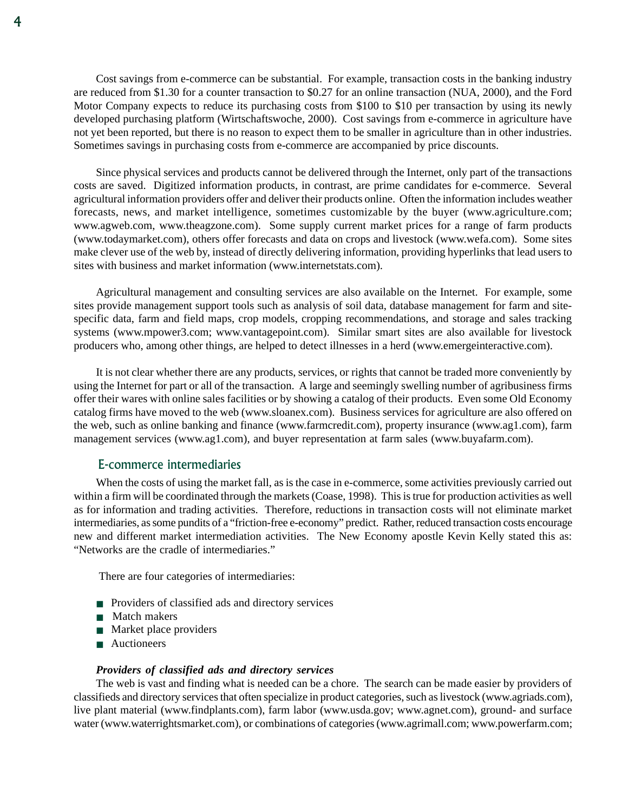Cost savings from e-commerce can be substantial. For example, transaction costs in the banking industry are reduced from \$1.30 for a counter transaction to \$0.27 for an online transaction (NUA, 2000), and the Ford Motor Company expects to reduce its purchasing costs from \$100 to \$10 per transaction by using its newly developed purchasing platform (Wirtschaftswoche, 2000). Cost savings from e-commerce in agriculture have not yet been reported, but there is no reason to expect them to be smaller in agriculture than in other industries. Sometimes savings in purchasing costs from e-commerce are accompanied by price discounts.

Since physical services and products cannot be delivered through the Internet, only part of the transactions costs are saved. Digitized information products, in contrast, are prime candidates for e-commerce. Several agricultural information providers offer and deliver their products online. Often the information includes weather forecasts, news, and market intelligence, sometimes customizable by the buyer (www.agriculture.com; www.agweb.com, www.theagzone.com). Some supply current market prices for a range of farm products (www.todaymarket.com), others offer forecasts and data on crops and livestock (www.wefa.com). Some sites make clever use of the web by, instead of directly delivering information, providing hyperlinks that lead users to sites with business and market information (www.internetstats.com).

Agricultural management and consulting services are also available on the Internet. For example, some sites provide management support tools such as analysis of soil data, database management for farm and sitespecific data, farm and field maps, crop models, cropping recommendations, and storage and sales tracking systems (www.mpower3.com; www.vantagepoint.com). Similar smart sites are also available for livestock producers who, among other things, are helped to detect illnesses in a herd (www.emergeinteractive.com).

It is not clear whether there are any products, services, or rights that cannot be traded more conveniently by using the Internet for part or all of the transaction. A large and seemingly swelling number of agribusiness firms offer their wares with online sales facilities or by showing a catalog of their products. Even some Old Economy catalog firms have moved to the web (www.sloanex.com). Business services for agriculture are also offered on the web, such as online banking and finance (www.farmcredit.com), property insurance (www.ag1.com), farm management services (www.ag1.com), and buyer representation at farm sales (www.buyafarm.com).

#### E-commerce intermediaries

When the costs of using the market fall, as is the case in e-commerce, some activities previously carried out within a firm will be coordinated through the markets (Coase, 1998). This is true for production activities as well as for information and trading activities. Therefore, reductions in transaction costs will not eliminate market intermediaries, as some pundits of a "friction-free e-economy" predict. Rather, reduced transaction costs encourage new and different market intermediation activities. The New Economy apostle Kevin Kelly stated this as: "Networks are the cradle of intermediaries."

There are four categories of intermediaries:

- Providers of classified ads and directory services
- Match makers
- Market place providers
- Auctioneers

#### *Providers of classified ads and directory services*

The web is vast and finding what is needed can be a chore. The search can be made easier by providers of classifieds and directory services that often specialize in product categories, such as livestock (www.agriads.com), live plant material (www.findplants.com), farm labor (www.usda.gov; www.agnet.com), ground- and surface water (www.waterrightsmarket.com), or combinations of categories (www.agrimall.com; www.powerfarm.com;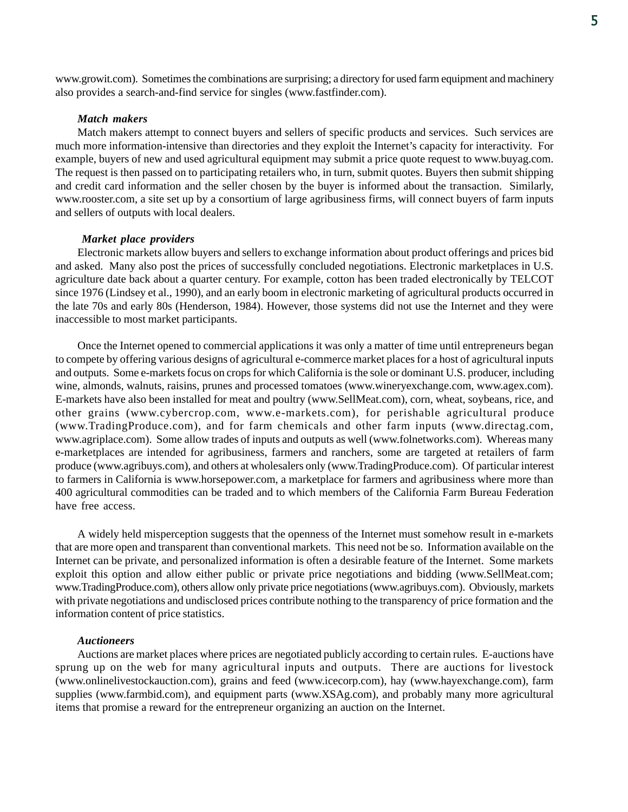www.growit.com). Sometimes the combinations are surprising; a directory for used farm equipment and machinery also provides a search-and-find service for singles (www.fastfinder.com).

#### *Match makers*

Match makers attempt to connect buyers and sellers of specific products and services. Such services are much more information-intensive than directories and they exploit the Internet's capacity for interactivity. For example, buyers of new and used agricultural equipment may submit a price quote request to www.buyag.com. The request is then passed on to participating retailers who, in turn, submit quotes. Buyers then submit shipping and credit card information and the seller chosen by the buyer is informed about the transaction. Similarly, www.rooster.com, a site set up by a consortium of large agribusiness firms, will connect buyers of farm inputs and sellers of outputs with local dealers.

#### *Market place providers*

Electronic markets allow buyers and sellers to exchange information about product offerings and prices bid and asked. Many also post the prices of successfully concluded negotiations. Electronic marketplaces in U.S. agriculture date back about a quarter century. For example, cotton has been traded electronically by TELCOT since 1976 (Lindsey et al., 1990), and an early boom in electronic marketing of agricultural products occurred in the late 70s and early 80s (Henderson, 1984). However, those systems did not use the Internet and they were inaccessible to most market participants.

Once the Internet opened to commercial applications it was only a matter of time until entrepreneurs began to compete by offering various designs of agricultural e-commerce market places for a host of agricultural inputs and outputs. Some e-markets focus on crops for which California is the sole or dominant U.S. producer, including wine, almonds, walnuts, raisins, prunes and processed tomatoes (www.wineryexchange.com, www.agex.com). E-markets have also been installed for meat and poultry (www.SellMeat.com), corn, wheat, soybeans, rice, and other grains (www.cybercrop.com, www.e-markets.com), for perishable agricultural produce (www.TradingProduce.com), and for farm chemicals and other farm inputs (www.directag.com, www.agriplace.com). Some allow trades of inputs and outputs as well (www.folnetworks.com). Whereas many e-marketplaces are intended for agribusiness, farmers and ranchers, some are targeted at retailers of farm produce (www.agribuys.com), and others at wholesalers only (www.TradingProduce.com). Of particular interest to farmers in California is www.horsepower.com, a marketplace for farmers and agribusiness where more than 400 agricultural commodities can be traded and to which members of the California Farm Bureau Federation have free access.

A widely held misperception suggests that the openness of the Internet must somehow result in e-markets that are more open and transparent than conventional markets. This need not be so. Information available on the Internet can be private, and personalized information is often a desirable feature of the Internet. Some markets exploit this option and allow either public or private price negotiations and bidding (www.SellMeat.com; www.TradingProduce.com), others allow only private price negotiations (www.agribuys.com). Obviously, markets with private negotiations and undisclosed prices contribute nothing to the transparency of price formation and the information content of price statistics.

#### *Auctioneers*

Auctions are market places where prices are negotiated publicly according to certain rules. E-auctions have sprung up on the web for many agricultural inputs and outputs. There are auctions for livestock (www.onlinelivestockauction.com), grains and feed (www.icecorp.com), hay (www.hayexchange.com), farm supplies (www.farmbid.com), and equipment parts (www.XSAg.com), and probably many more agricultural items that promise a reward for the entrepreneur organizing an auction on the Internet.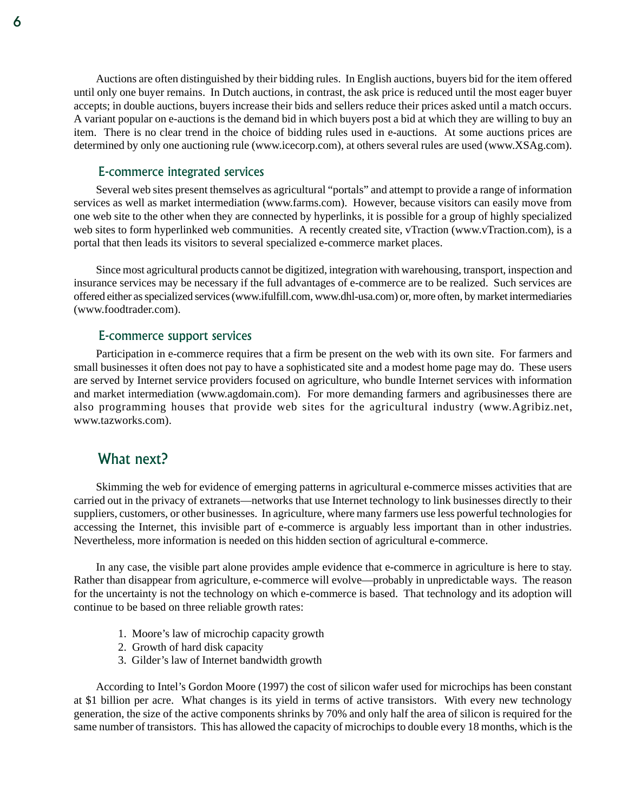Auctions are often distinguished by their bidding rules. In English auctions, buyers bid for the item offered until only one buyer remains. In Dutch auctions, in contrast, the ask price is reduced until the most eager buyer accepts; in double auctions, buyers increase their bids and sellers reduce their prices asked until a match occurs. A variant popular on e-auctions is the demand bid in which buyers post a bid at which they are willing to buy an item. There is no clear trend in the choice of bidding rules used in e-auctions. At some auctions prices are determined by only one auctioning rule (www.icecorp.com), at others several rules are used (www.XSAg.com).

#### E-commerce integrated services

Several web sites present themselves as agricultural "portals" and attempt to provide a range of information services as well as market intermediation (www.farms.com). However, because visitors can easily move from one web site to the other when they are connected by hyperlinks, it is possible for a group of highly specialized web sites to form hyperlinked web communities. A recently created site, vTraction (www.vTraction.com), is a portal that then leads its visitors to several specialized e-commerce market places.

Since most agricultural products cannot be digitized, integration with warehousing, transport, inspection and insurance services may be necessary if the full advantages of e-commerce are to be realized. Such services are offered either as specialized services (www.ifulfill.com, www.dhl-usa.com) or, more often, by market intermediaries (www.foodtrader.com).

#### E-commerce support services

Participation in e-commerce requires that a firm be present on the web with its own site. For farmers and small businesses it often does not pay to have a sophisticated site and a modest home page may do. These users are served by Internet service providers focused on agriculture, who bundle Internet services with information and market intermediation (www.agdomain.com). For more demanding farmers and agribusinesses there are also programming houses that provide web sites for the agricultural industry (www.Agribiz.net, www.tazworks.com).

## What next?

Skimming the web for evidence of emerging patterns in agricultural e-commerce misses activities that are carried out in the privacy of extranets—networks that use Internet technology to link businesses directly to their suppliers, customers, or other businesses. In agriculture, where many farmers use less powerful technologies for accessing the Internet, this invisible part of e-commerce is arguably less important than in other industries. Nevertheless, more information is needed on this hidden section of agricultural e-commerce.

In any case, the visible part alone provides ample evidence that e-commerce in agriculture is here to stay. Rather than disappear from agriculture, e-commerce will evolve—probably in unpredictable ways. The reason for the uncertainty is not the technology on which e-commerce is based. That technology and its adoption will continue to be based on three reliable growth rates:

- 1. Moore's law of microchip capacity growth
- 2. Growth of hard disk capacity
- 3. Gilder's law of Internet bandwidth growth

According to Intel's Gordon Moore (1997) the cost of silicon wafer used for microchips has been constant at \$1 billion per acre. What changes is its yield in terms of active transistors. With every new technology generation, the size of the active components shrinks by 70% and only half the area of silicon is required for the same number of transistors. This has allowed the capacity of microchips to double every 18 months, which is the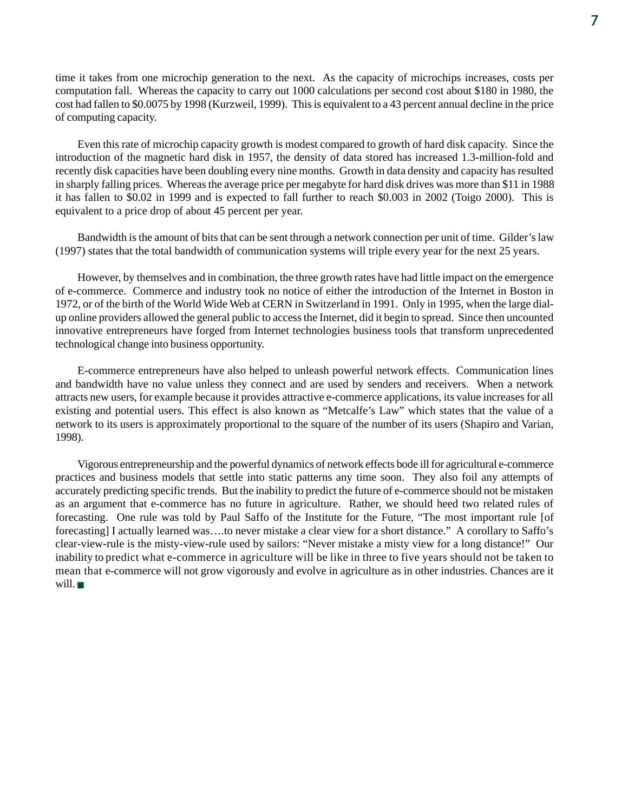time it takes from one microchip generation to the next. As the capacity of microchips increases, costs per computation fall. Whereas the capacity to carry out 1000 calculations per second cost about \$180 in 1980, the cost had fallen to \$0.0075 by 1998 (Kurzweil, 1999). This is equivalent to a 43 percent annual decline in the price of computing capacity.

Even this rate of microchip capacity growth is modest compared to growth of hard disk capacity. Since the introduction of the magnetic hard disk in 1957, the density of data stored has increased 1.3-million-fold and recently disk capacities have been doubling every nine months. Growth in data density and capacity has resulted in sharply falling prices. Whereas the average price per megabyte for hard disk drives was more than \$11 in 1988 it has fallen to \$0.02 in 1999 and is expected to fall further to reach \$0.003 in 2002 (Toigo 2000). This is equivalent to a price drop of about 45 percent per year.

Bandwidth is the amount of bits that can be sent through a network connection per unit of time. Gilder's law (1997) states that the total bandwidth of communication systems will triple every year for the next 25 years.

However, by themselves and in combination, the three growth rates have had little impact on the emergence of e-commerce. Commerce and industry took no notice of either the introduction of the Internet in Boston in 1972, or of the birth of the World Wide Web at CERN in Switzerland in 1991. Only in 1995, when the large dialup online providers allowed the general public to access the Internet, did it begin to spread. Since then uncounted innovative entrepreneurs have forged from Internet technologies business tools that transform unprecedented technological change into business opportunity.

E-commerce entrepreneurs have also helped to unleash powerful network effects. Communication lines and bandwidth have no value unless they connect and are used by senders and receivers. When a network attracts new users, for example because it provides attractive e-commerce applications, its value increases for all existing and potential users. This effect is also known as "Metcalfe's Law" which states that the value of a network to its users is approximately proportional to the square of the number of its users (Shapiro and Varian, 1998).

Vigorous entrepreneurship and the powerful dynamics of network effects bode ill for agricultural e-commerce practices and business models that settle into static patterns any time soon. They also foil any attempts of accurately predicting specific trends. But the inability to predict the future of e-commerce should not be mistaken as an argument that e-commerce has no future in agriculture. Rather, we should heed two related rules of forecasting. One rule was told by Paul Saffo of the Institute for the Future, "The most important rule [of forecasting] I actually learned was….to never mistake a clear view for a short distance." A corollary to Saffo's clear-view-rule is the misty-view-rule used by sailors: "Never mistake a misty view for a long distance!" Our inability to predict what e-commerce in agriculture will be like in three to five years should not be taken to mean that e-commerce will not grow vigorously and evolve in agriculture as in other industries. Chances are it will.■